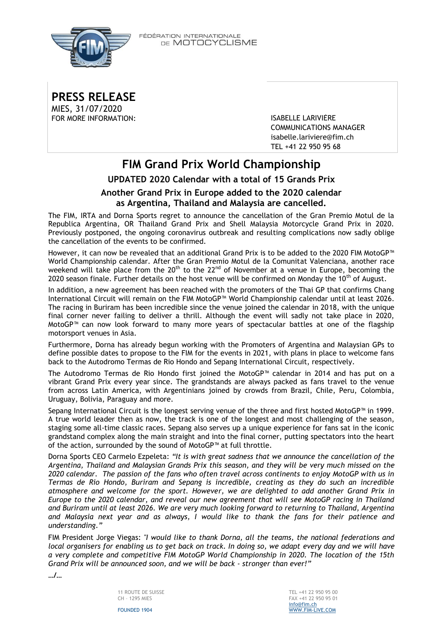

FÉDÉRATION INTERNATIONALE DE MOTOCYCLISME

**PRESS RELEASE** MIES, 31/07/2020 FOR MORE INFORMATION: ISABELLE LARIVIÈRE

COMMUNICATIONS MANAGER [isabelle.lariviere@fim.ch](mailto:isabelle.lariviere@fim.ch) TEL +41 22 950 95 68

## **FIM Grand Prix World Championship UPDATED 2020 Calendar with a total of 15 Grands Prix Another Grand Prix in Europe added to the 2020 calendar as Argentina, Thailand and Malaysia are cancelled.**

The FIM, IRTA and Dorna Sports regret to announce the cancellation of the Gran Premio Motul de la Republica Argentina, OR Thailand Grand Prix and Shell Malaysia Motorcycle Grand Prix in 2020. Previously postponed, the ongoing coronavirus outbreak and resulting complications now sadly oblige the cancellation of the events to be confirmed.

However, it can now be revealed that an additional Grand Prix is to be added to the 2020 FIM MotoGP™ World Championship calendar. After the Gran Premio Motul de la Comunitat Valenciana, another race weekend will take place from the 20<sup>th</sup> to the 22<sup>nd</sup> of November at a venue in Europe, becoming the 2020 season finale. Further details on the host venue will be confirmed on Monday the  $10^{th}$  of August.

In addition, a new agreement has been reached with the promoters of the Thai GP that confirms Chang International Circuit will remain on the FIM MotoGP™ World Championship calendar until at least 2026. The racing in Buriram has been incredible since the venue joined the calendar in 2018, with the unique final corner never failing to deliver a thrill. Although the event will sadly not take place in 2020, MotoGP™ can now look forward to many more years of spectacular battles at one of the flagship motorsport venues in Asia.

Furthermore, Dorna has already begun working with the Promoters of Argentina and Malaysian GPs to define possible dates to propose to the FIM for the events in 2021, with plans in place to welcome fans back to the Autodromo Termas de Rio Hondo and Sepang International Circuit, respectively.

The Autodromo Termas de Rio Hondo first joined the MotoGP™ calendar in 2014 and has put on a vibrant Grand Prix every year since. The grandstands are always packed as fans travel to the venue from across Latin America, with Argentinians joined by crowds from Brazil, Chile, Peru, Colombia, Uruguay, Bolivia, Paraguay and more.

Sepang International Circuit is the longest serving venue of the three and first hosted MotoGP™ in 1999. A true world leader then as now, the track is one of the longest and most challenging of the season, staging some all-time classic races. Sepang also serves up a unique experience for fans sat in the iconic grandstand complex along the main straight and into the final corner, putting spectators into the heart of the action, surrounded by the sound of MotoGP™ at full throttle.

Dorna Sports CEO Carmelo Ezpeleta: *"It is with great sadness that we announce the cancellation of the Argentina, Thailand and Malaysian Grands Prix this season, and they will be very much missed on the 2020 calendar. The passion of the fans who often travel across continents to enjoy MotoGP with us in Termas de Rio Hondo, Buriram and Sepang is incredible, creating as they do such an incredible atmosphere and welcome for the sport. However, we are delighted to add another Grand Prix in Europe to the 2020 calendar, and reveal our new agreement that will see MotoGP racing in Thailand and Buriram until at least 2026. We are very much looking forward to returning to Thailand, Argentina and Malaysia next year and as always, I would like to thank the fans for their patience and understanding."*

FIM President Jorge Viegas: *"I would like to thank Dorna, all the teams, the national federations and local organisers for enabling us to get back on track. In doing so, we adapt every day and we will have a very complete and competitive FIM MotoGP World Championship in 2020. The location of the 15th Grand Prix will be announced soon, and we will be back - stronger than ever!"*

**…/…**

11 ROUTE DE SUISSE CH – 1295 MIES



FOUNDED 1904